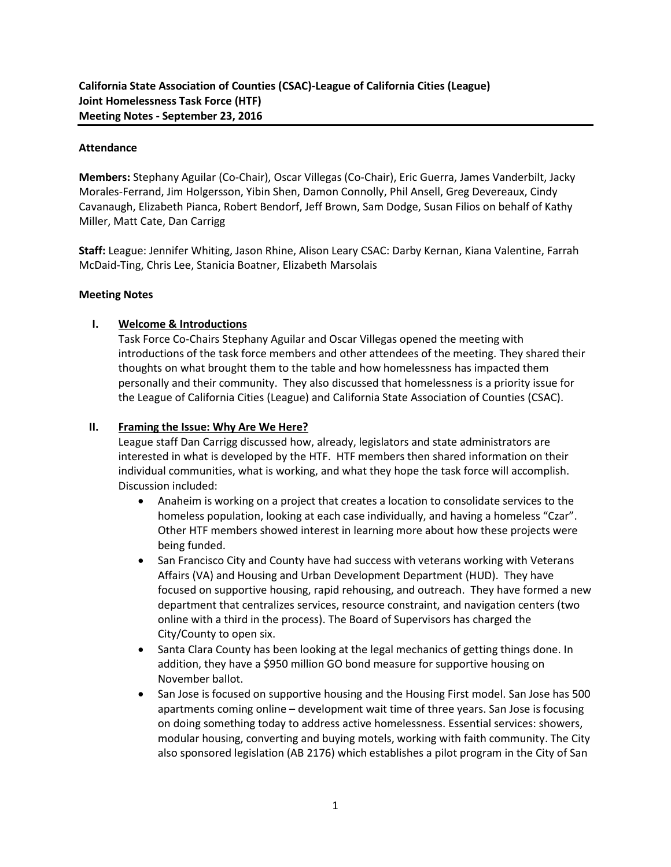### **Attendance**

**Members:** Stephany Aguilar (Co-Chair), Oscar Villegas (Co-Chair), Eric Guerra, James Vanderbilt, Jacky Morales-Ferrand, Jim Holgersson, Yibin Shen, Damon Connolly, Phil Ansell, Greg Devereaux, Cindy Cavanaugh, Elizabeth Pianca, Robert Bendorf, Jeff Brown, Sam Dodge, Susan Filios on behalf of Kathy Miller, Matt Cate, Dan Carrigg

**Staff:** League: Jennifer Whiting, Jason Rhine, Alison Leary CSAC: Darby Kernan, Kiana Valentine, Farrah McDaid-Ting, Chris Lee, Stanicia Boatner, Elizabeth Marsolais

#### **Meeting Notes**

### **I. Welcome & Introductions**

Task Force Co-Chairs Stephany Aguilar and Oscar Villegas opened the meeting with introductions of the task force members and other attendees of the meeting. They shared their thoughts on what brought them to the table and how homelessness has impacted them personally and their community. They also discussed that homelessness is a priority issue for the League of California Cities (League) and California State Association of Counties (CSAC).

### **II. Framing the Issue: Why Are We Here?**

League staff Dan Carrigg discussed how, already, legislators and state administrators are interested in what is developed by the HTF. HTF members then shared information on their individual communities, what is working, and what they hope the task force will accomplish. Discussion included:

- Anaheim is working on a project that creates a location to consolidate services to the homeless population, looking at each case individually, and having a homeless "Czar". Other HTF members showed interest in learning more about how these projects were being funded.
- San Francisco City and County have had success with veterans working with Veterans Affairs (VA) and Housing and Urban Development Department (HUD). They have focused on supportive housing, rapid rehousing, and outreach. They have formed a new department that centralizes services, resource constraint, and navigation centers (two online with a third in the process). The Board of Supervisors has charged the City/County to open six.
- Santa Clara County has been looking at the legal mechanics of getting things done. In addition, they have a \$950 million GO bond measure for supportive housing on November ballot.
- San Jose is focused on supportive housing and the Housing First model. San Jose has 500 apartments coming online – development wait time of three years. San Jose is focusing on doing something today to address active homelessness. Essential services: showers, modular housing, converting and buying motels, working with faith community. The City also sponsored legislation (AB 2176) which establishes a pilot program in the City of San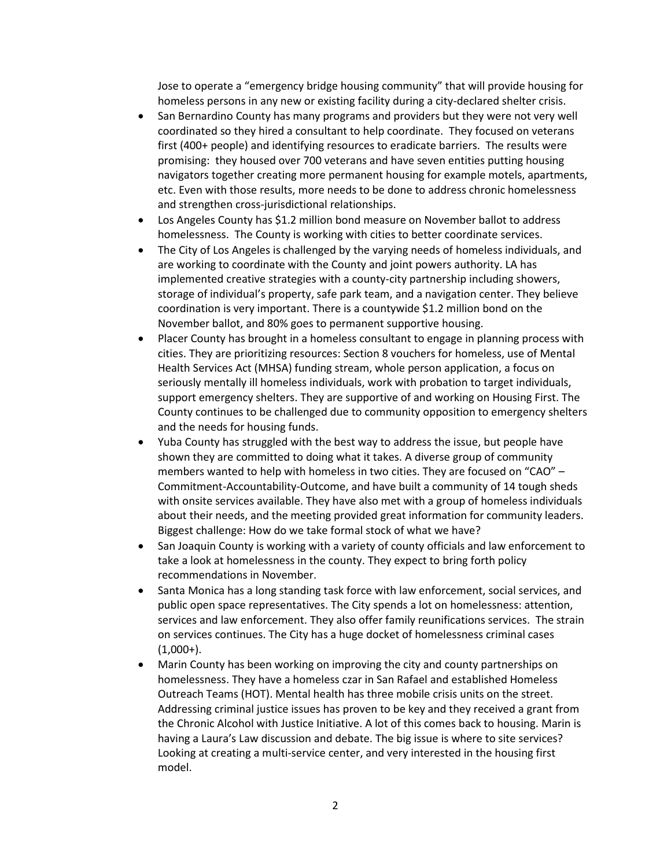Jose to operate a "emergency bridge housing community" that will provide housing for homeless persons in any new or existing facility during a city-declared shelter crisis.

- San Bernardino County has many programs and providers but they were not very well coordinated so they hired a consultant to help coordinate. They focused on veterans first (400+ people) and identifying resources to eradicate barriers. The results were promising: they housed over 700 veterans and have seven entities putting housing navigators together creating more permanent housing for example motels, apartments, etc. Even with those results, more needs to be done to address chronic homelessness and strengthen cross-jurisdictional relationships.
- Los Angeles County has \$1.2 million bond measure on November ballot to address homelessness. The County is working with cities to better coordinate services.
- The City of Los Angeles is challenged by the varying needs of homeless individuals, and are working to coordinate with the County and joint powers authority. LA has implemented creative strategies with a county-city partnership including showers, storage of individual's property, safe park team, and a navigation center. They believe coordination is very important. There is a countywide \$1.2 million bond on the November ballot, and 80% goes to permanent supportive housing.
- Placer County has brought in a homeless consultant to engage in planning process with cities. They are prioritizing resources: Section 8 vouchers for homeless, use of Mental Health Services Act (MHSA) funding stream, whole person application, a focus on seriously mentally ill homeless individuals, work with probation to target individuals, support emergency shelters. They are supportive of and working on Housing First. The County continues to be challenged due to community opposition to emergency shelters and the needs for housing funds.
- Yuba County has struggled with the best way to address the issue, but people have shown they are committed to doing what it takes. A diverse group of community members wanted to help with homeless in two cities. They are focused on "CAO" – Commitment-Accountability-Outcome, and have built a community of 14 tough sheds with onsite services available. They have also met with a group of homeless individuals about their needs, and the meeting provided great information for community leaders. Biggest challenge: How do we take formal stock of what we have?
- San Joaquin County is working with a variety of county officials and law enforcement to take a look at homelessness in the county. They expect to bring forth policy recommendations in November.
- Santa Monica has a long standing task force with law enforcement, social services, and public open space representatives. The City spends a lot on homelessness: attention, services and law enforcement. They also offer family reunifications services. The strain on services continues. The City has a huge docket of homelessness criminal cases  $(1,000+)$ .
- Marin County has been working on improving the city and county partnerships on homelessness. They have a homeless czar in San Rafael and established Homeless Outreach Teams (HOT). Mental health has three mobile crisis units on the street. Addressing criminal justice issues has proven to be key and they received a grant from the Chronic Alcohol with Justice Initiative. A lot of this comes back to housing. Marin is having a Laura's Law discussion and debate. The big issue is where to site services? Looking at creating a multi-service center, and very interested in the housing first model.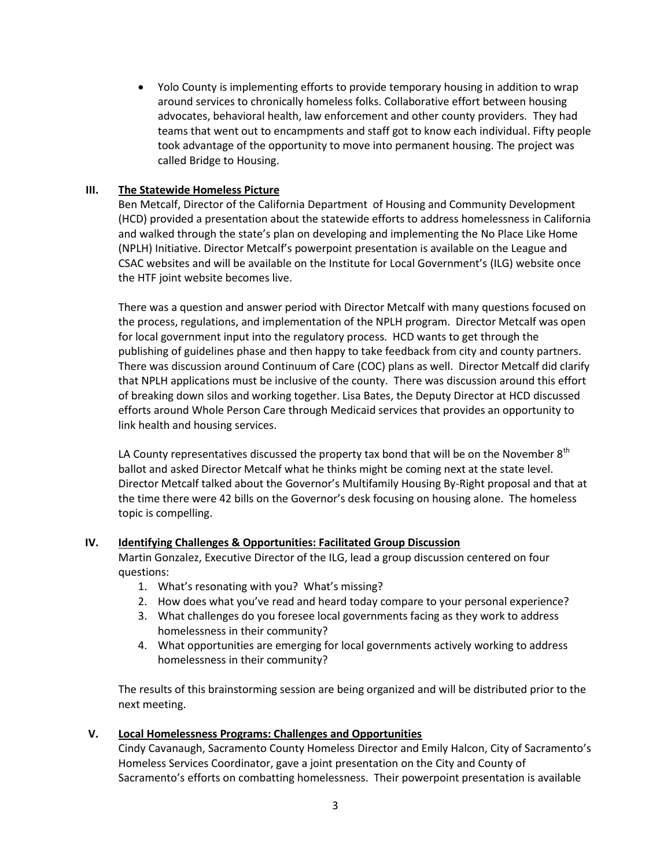Yolo County is implementing efforts to provide temporary housing in addition to wrap around services to chronically homeless folks. Collaborative effort between housing advocates, behavioral health, law enforcement and other county providers. They had teams that went out to encampments and staff got to know each individual. Fifty people took advantage of the opportunity to move into permanent housing. The project was called Bridge to Housing.

## **III. The Statewide Homeless Picture**

Ben Metcalf, Director of the California Department of Housing and Community Development (HCD) provided a presentation about the statewide efforts to address homelessness in California and walked through the state's plan on developing and implementing the No Place Like Home (NPLH) Initiative. Director Metcalf's powerpoint presentation is available on the League and CSAC websites and will be available on the Institute for Local Government's (ILG) website once the HTF joint website becomes live.

There was a question and answer period with Director Metcalf with many questions focused on the process, regulations, and implementation of the NPLH program. Director Metcalf was open for local government input into the regulatory process. HCD wants to get through the publishing of guidelines phase and then happy to take feedback from city and county partners. There was discussion around Continuum of Care (COC) plans as well. Director Metcalf did clarify that NPLH applications must be inclusive of the county. There was discussion around this effort of breaking down silos and working together. Lisa Bates, the Deputy Director at HCD discussed efforts around Whole Person Care through Medicaid services that provides an opportunity to link health and housing services.

LA County representatives discussed the property tax bond that will be on the November  $8<sup>th</sup>$ ballot and asked Director Metcalf what he thinks might be coming next at the state level. Director Metcalf talked about the Governor's Multifamily Housing By-Right proposal and that at the time there were 42 bills on the Governor's desk focusing on housing alone. The homeless topic is compelling.

### **IV. Identifying Challenges & Opportunities: Facilitated Group Discussion**

Martin Gonzalez, Executive Director of the ILG, lead a group discussion centered on four questions:

- 1. What's resonating with you? What's missing?
- 2. How does what you've read and heard today compare to your personal experience?
- 3. What challenges do you foresee local governments facing as they work to address homelessness in their community?
- 4. What opportunities are emerging for local governments actively working to address homelessness in their community?

The results of this brainstorming session are being organized and will be distributed prior to the next meeting.

### **V. Local Homelessness Programs: Challenges and Opportunities**

Cindy Cavanaugh, Sacramento County Homeless Director and Emily Halcon, City of Sacramento's Homeless Services Coordinator, gave a joint presentation on the City and County of Sacramento's efforts on combatting homelessness. Their powerpoint presentation is available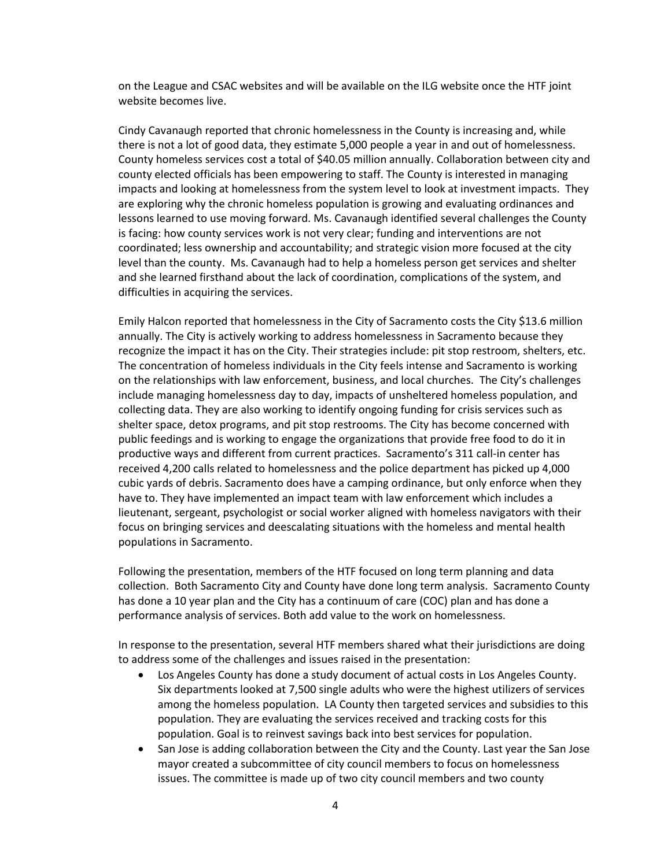on the League and CSAC websites and will be available on the ILG website once the HTF joint website becomes live.

Cindy Cavanaugh reported that chronic homelessness in the County is increasing and, while there is not a lot of good data, they estimate 5,000 people a year in and out of homelessness. County homeless services cost a total of \$40.05 million annually. Collaboration between city and county elected officials has been empowering to staff. The County is interested in managing impacts and looking at homelessness from the system level to look at investment impacts. They are exploring why the chronic homeless population is growing and evaluating ordinances and lessons learned to use moving forward. Ms. Cavanaugh identified several challenges the County is facing: how county services work is not very clear; funding and interventions are not coordinated; less ownership and accountability; and strategic vision more focused at the city level than the county. Ms. Cavanaugh had to help a homeless person get services and shelter and she learned firsthand about the lack of coordination, complications of the system, and difficulties in acquiring the services.

Emily Halcon reported that homelessness in the City of Sacramento costs the City \$13.6 million annually. The City is actively working to address homelessness in Sacramento because they recognize the impact it has on the City. Their strategies include: pit stop restroom, shelters, etc. The concentration of homeless individuals in the City feels intense and Sacramento is working on the relationships with law enforcement, business, and local churches. The City's challenges include managing homelessness day to day, impacts of unsheltered homeless population, and collecting data. They are also working to identify ongoing funding for crisis services such as shelter space, detox programs, and pit stop restrooms. The City has become concerned with public feedings and is working to engage the organizations that provide free food to do it in productive ways and different from current practices. Sacramento's 311 call-in center has received 4,200 calls related to homelessness and the police department has picked up 4,000 cubic yards of debris. Sacramento does have a camping ordinance, but only enforce when they have to. They have implemented an impact team with law enforcement which includes a lieutenant, sergeant, psychologist or social worker aligned with homeless navigators with their focus on bringing services and deescalating situations with the homeless and mental health populations in Sacramento.

Following the presentation, members of the HTF focused on long term planning and data collection. Both Sacramento City and County have done long term analysis. Sacramento County has done a 10 year plan and the City has a continuum of care (COC) plan and has done a performance analysis of services. Both add value to the work on homelessness.

In response to the presentation, several HTF members shared what their jurisdictions are doing to address some of the challenges and issues raised in the presentation:

- Los Angeles County has done a study document of actual costs in Los Angeles County. Six departments looked at 7,500 single adults who were the highest utilizers of services among the homeless population. LA County then targeted services and subsidies to this population. They are evaluating the services received and tracking costs for this population. Goal is to reinvest savings back into best services for population.
- San Jose is adding collaboration between the City and the County. Last year the San Jose mayor created a subcommittee of city council members to focus on homelessness issues. The committee is made up of two city council members and two county